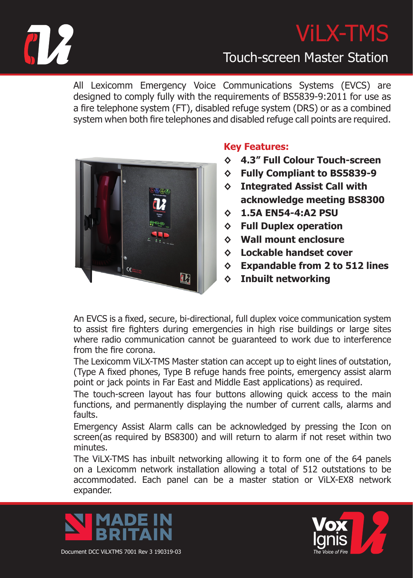

## ViLX-TMS

#### Touch-screen Master Station

All Lexicomm Emergency Voice Communications Systems (EVCS) are designed to comply fully with the requirements of BS5839-9:2011 for use as a fire telephone system (FT), disabled refuge system (DRS) or as a combined system when both fire telephones and disabled refuge call points are required.



#### **Key Features:**

- **◊ 4.3" Full Colour Touch-screen**
- **◊ Fully Compliant to BS5839-9**
- **◊ Integrated Assist Call with acknowledge meeting BS8300**
- **◊ 1.5A EN54-4:A2 PSU**
- **◊ Full Duplex operation**
- **◊ Wall mount enclosure**
- **◊ Lockable handset cover**
- **◊ Expandable from 2 to 512 lines**
- **Inbuilt networking**

An EVCS is a fixed, secure, bi-directional, full duplex voice communication system to assist fire fighters during emergencies in high rise buildings or large sites where radio communication cannot be guaranteed to work due to interference from the fire corona.

The Lexicomm ViLX-TMS Master station can accept up to eight lines of outstation, (Type A fixed phones, Type B refuge hands free points, emergency assist alarm point or jack points in Far East and Middle East applications) as required.

The touch-screen layout has four buttons allowing quick access to the main functions, and permanently displaying the number of current calls, alarms and faults.

Emergency Assist Alarm calls can be acknowledged by pressing the Icon on screen(as required by BS8300) and will return to alarm if not reset within two minutes.

The ViLX-TMS has inbuilt networking allowing it to form one of the 64 panels on a Lexicomm network installation allowing a total of 512 outstations to be accommodated. Each panel can be a master station or ViLX-EX8 network expander.